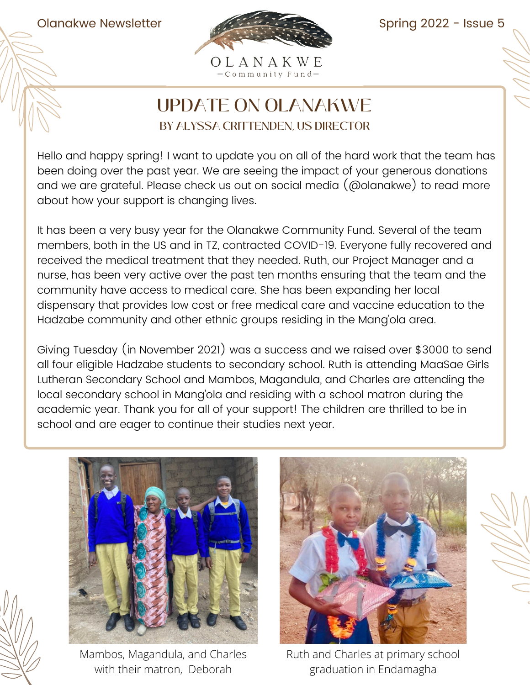Olanakwe Newsletter



Spring 2022 - Issue 5

## UPDATE ON OLANAKWE BY ALYSSA CRITTENDEN, US DIRECTOR

Hello and happy spring! I want to update you on all of the hard work that the team has been doing over the past year. We are seeing the impact of your generous donations and we are grateful. Please check us out on social media (@olanakwe) to read more about how your support is changing lives.

It has been a very busy year for the Olanakwe Community Fund. Several of the team members, both in the US and in TZ, contracted COVID-19. Everyone fully recovered and received the medical treatment that they needed. Ruth, our Project Manager and a nurse, has been very active over the past ten months ensuring that the team and the community have access to medical care. She has been expanding her local dispensary that provides low cost or free medical care and vaccine education to the Hadzabe community and other ethnic groups residing in the Mang'ola area.

Giving Tuesday (in November 2021) was a success and we raised over \$3000 to send all four eligible Hadzabe students to secondary school. Ruth is attending MaaSae Girls Lutheran Secondary School and Mambos, Magandula, and Charles are attending the local secondary school in Mang'ola and residing with a school matron during the academic year. Thank you for all of your support! The children are thrilled to be in school and are eager to continue their studies next year.



Mambos, Magandula, and Charles with their matron, Deborah



Ruth and Charles at primary school graduation in Endamagha

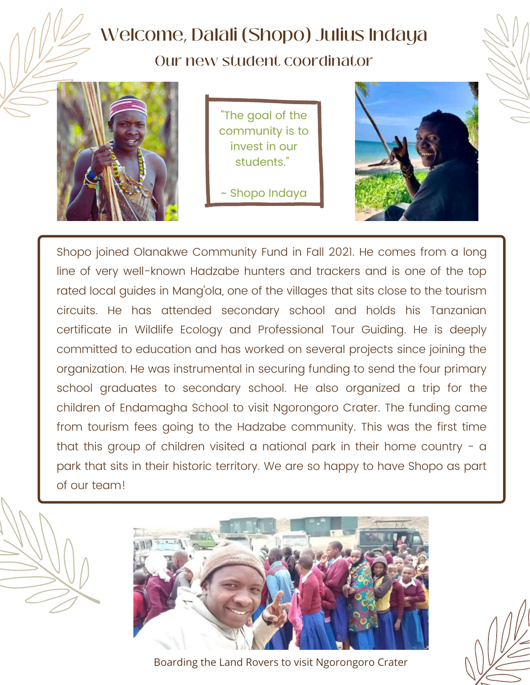## Welcome, Dalali (Shopo) Julius Indaya

Our new student coordinator



"The goal of the community is to invest in our students."

~ Shopo Indaya



Shopo joined Olanakwe Community Fund in Fall 2021. He comes from a long line of very well-known Hadzabe hunters and trackers and is one of the top rated local guides in Mang'ola, one of the villages that sits close to the tourism circuits. He has attended secondary school and holds his Tanzanian certificate in Wildlife Ecology and Professional Tour Guiding. He is deeply committed to education and has worked on several projects since joining the organization. He was instrumental in securing funding to send the four primary school graduates to secondary school. He also organized a trip for the children of Endamagha School to visit Ngorongoro Crater. The funding came from tourism fees going to the Hadzabe community. This was the first time that this group of children visited a national park in their home country - a park that sits in their historic territory. We are so happy to have Shopo as part of our team!



Boarding the Land Rovers to visit Ngorongoro Crater